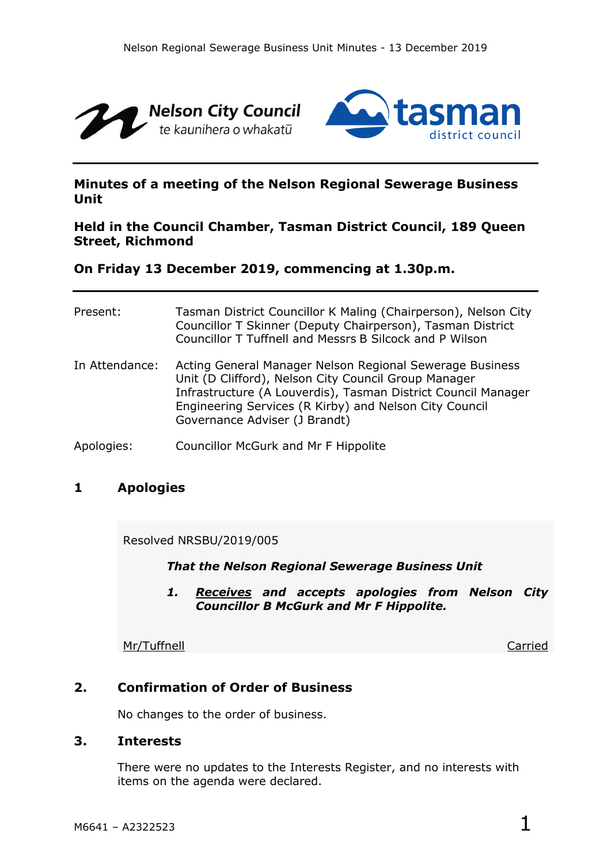



# **Minutes of a meeting of the Nelson Regional Sewerage Business Unit**

## **Held in the Council Chamber, Tasman District Council, 189 Queen Street, Richmond**

## **On Friday 13 December 2019, commencing at 1.30p.m.**

| Present:       | Tasman District Councillor K Maling (Chairperson), Nelson City<br>Councillor T Skinner (Deputy Chairperson), Tasman District<br>Councillor T Tuffnell and Messrs B Silcock and P Wilson                                                                                      |
|----------------|------------------------------------------------------------------------------------------------------------------------------------------------------------------------------------------------------------------------------------------------------------------------------|
| In Attendance: | Acting General Manager Nelson Regional Sewerage Business<br>Unit (D Clifford), Nelson City Council Group Manager<br>Infrastructure (A Louverdis), Tasman District Council Manager<br>Engineering Services (R Kirby) and Nelson City Council<br>Governance Adviser (J Brandt) |
| Apologies:     | Councillor McGurk and Mr F Hippolite                                                                                                                                                                                                                                         |

# **1 Apologies**

Resolved NRSBU/2019/005

*That the Nelson Regional Sewerage Business Unit*

*1. Receives and accepts apologies from Nelson City Councillor B McGurk and Mr F Hippolite.*

Mr/Tuffnell Carried

# **2. Confirmation of Order of Business**

No changes to the order of business.

#### **3. Interests**

There were no updates to the Interests Register, and no interests with items on the agenda were declared.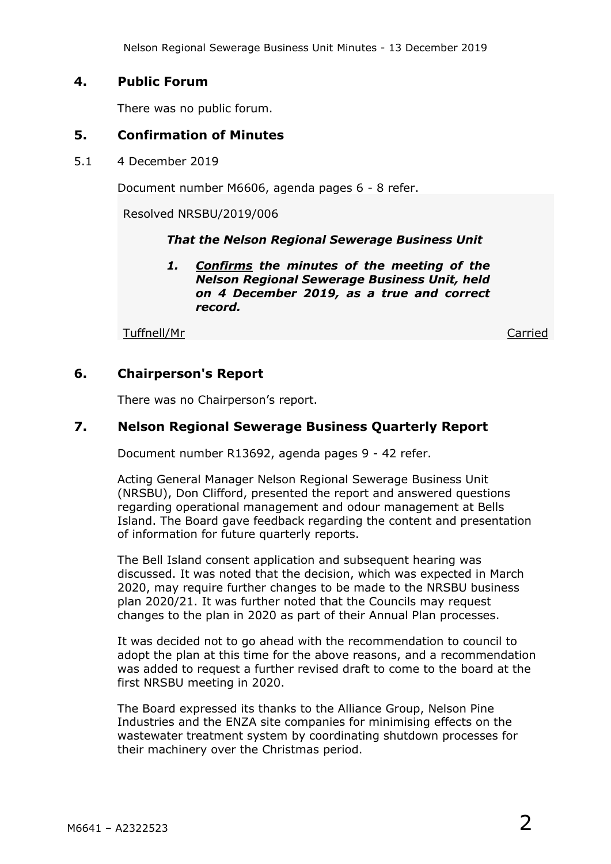## **4. Public Forum**

There was no public forum.

## **5. Confirmation of Minutes**

5.1 4 December 2019

Document number M6606, agenda pages 6 - 8 refer.

Resolved NRSBU/2019/006

#### *That the Nelson Regional Sewerage Business Unit*

*1. Confirms the minutes of the meeting of the Nelson Regional Sewerage Business Unit, held on 4 December 2019, as a true and correct record.*

Tuffnell/Mr Carried

# **6. Chairperson's Report**

There was no Chairperson's report.

## **7. Nelson Regional Sewerage Business Quarterly Report**

Document number R13692, agenda pages 9 - 42 refer.

Acting General Manager Nelson Regional Sewerage Business Unit (NRSBU), Don Clifford, presented the report and answered questions regarding operational management and odour management at Bells Island. The Board gave feedback regarding the content and presentation of information for future quarterly reports.

The Bell Island consent application and subsequent hearing was discussed. It was noted that the decision, which was expected in March 2020, may require further changes to be made to the NRSBU business plan 2020/21. It was further noted that the Councils may request changes to the plan in 2020 as part of their Annual Plan processes.

It was decided not to go ahead with the recommendation to council to adopt the plan at this time for the above reasons, and a recommendation was added to request a further revised draft to come to the board at the first NRSBU meeting in 2020.

The Board expressed its thanks to the Alliance Group, Nelson Pine Industries and the ENZA site companies for minimising effects on the wastewater treatment system by coordinating shutdown processes for their machinery over the Christmas period.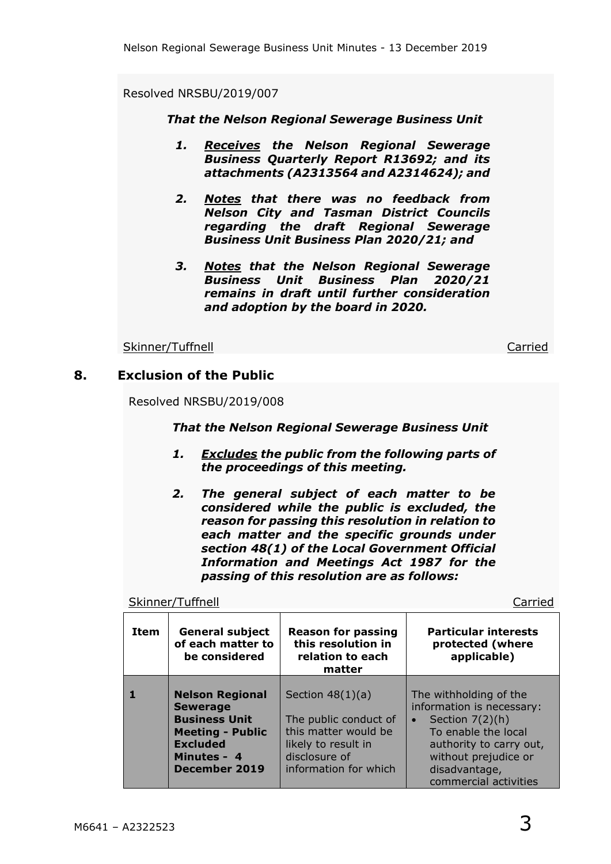Resolved NRSBU/2019/007

*That the Nelson Regional Sewerage Business Unit*

- *1. Receives the Nelson Regional Sewerage Business Quarterly Report R13692; and its attachments (A2313564 and A2314624); and*
- *2. Notes that there was no feedback from Nelson City and Tasman District Councils regarding the draft Regional Sewerage Business Unit Business Plan 2020/21; and*
- *3. Notes that the Nelson Regional Sewerage Business Unit Business Plan 2020/21 remains in draft until further consideration and adoption by the board in 2020.*

Skinner/Tuffnell Carried Carried Carried Carried Carried Carried Carried Carried Carried Carried Carried Carried

#### **8. Exclusion of the Public**

Resolved NRSBU/2019/008

#### *That the Nelson Regional Sewerage Business Unit*

- *1. Excludes the public from the following parts of the proceedings of this meeting.*
- *2. The general subject of each matter to be considered while the public is excluded, the reason for passing this resolution in relation to each matter and the specific grounds under section 48(1) of the Local Government Official Information and Meetings Act 1987 for the passing of this resolution are as follows:*

Skinner/Tuffnell Carried

| Item | <b>General subject</b><br>of each matter to<br>be considered                                                                                           | <b>Reason for passing</b><br>this resolution in<br>relation to each<br>matter                                                        | <b>Particular interests</b><br>protected (where<br>applicable)                                                                                                                                            |  |  |  |
|------|--------------------------------------------------------------------------------------------------------------------------------------------------------|--------------------------------------------------------------------------------------------------------------------------------------|-----------------------------------------------------------------------------------------------------------------------------------------------------------------------------------------------------------|--|--|--|
|      | <b>Nelson Regional</b><br><b>Sewerage</b><br><b>Business Unit</b><br><b>Meeting - Public</b><br><b>Excluded</b><br>Minutes - 4<br><b>December 2019</b> | Section $48(1)(a)$<br>The public conduct of<br>this matter would be<br>likely to result in<br>disclosure of<br>information for which | The withholding of the<br>information is necessary:<br>Section $7(2)(h)$<br>$\bullet$<br>To enable the local<br>authority to carry out,<br>without prejudice or<br>disadvantage,<br>commercial activities |  |  |  |